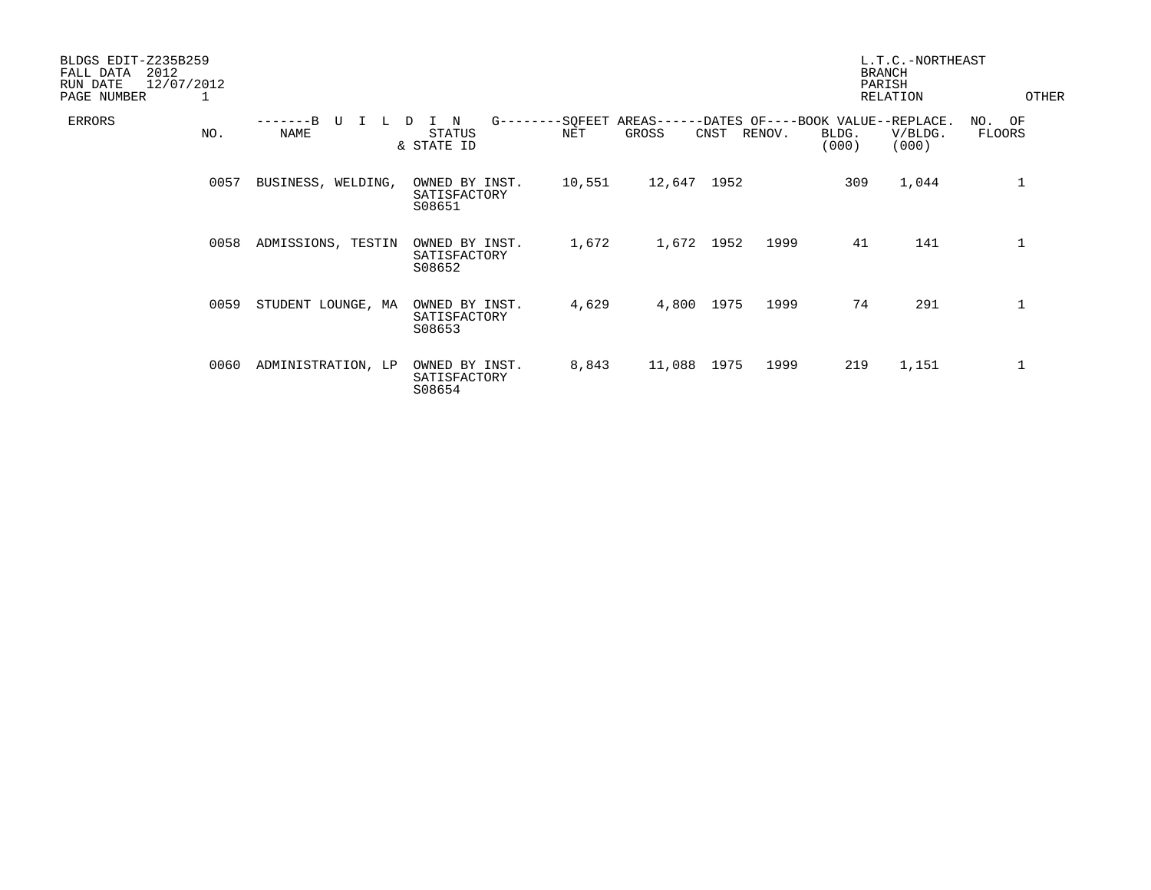| BLDGS EDIT-Z235B259<br>2012<br>FALL DATA<br>12/07/2012<br>RUN DATE<br>PAGE NUMBER<br>1 |      |                    |                                                      |                |                     |      |        | <b>BRANCH</b><br>PARISH                             | L.T.C.-NORTHEAST<br><b>RELATION</b> | OTHER               |
|----------------------------------------------------------------------------------------|------|--------------------|------------------------------------------------------|----------------|---------------------|------|--------|-----------------------------------------------------|-------------------------------------|---------------------|
| ERRORS                                                                                 | NO.  | TT<br><b>NAME</b>  | $G$ -------<br>N<br>D<br><b>STATUS</b><br>& STATE ID | -SQFEET<br>NET | $AREAS---$<br>GROSS | CNST | RENOV. | -DATES OF----BOOK VALUE--REPLACE.<br>BLDG.<br>(000) | V/BLDG.<br>(000)                    | OF<br>NO.<br>FLOORS |
|                                                                                        | 0057 | BUSINESS, WELDING, | OWNED BY INST.<br>SATISFACTORY<br>S08651             | 10,551         | 12,647              | 1952 |        | 309                                                 | 1,044                               | $\mathbf 1$         |
|                                                                                        | 0058 | ADMISSIONS, TESTIN | OWNED BY INST.<br>SATISFACTORY<br>S08652             | 1,672          | 1,672 1952          |      | 1999   | 41                                                  | 141                                 | 1                   |
|                                                                                        | 0059 | STUDENT LOUNGE, MA | OWNED BY INST.<br>SATISFACTORY<br>S08653             | 4,629          | 4,800               | 1975 | 1999   | 74                                                  | 291                                 | $\mathbf 1$         |
|                                                                                        | 0060 | ADMINISTRATION, LP | OWNED BY INST.<br>SATISFACTORY<br>S08654             | 8,843          | 11,088              | 1975 | 1999   | 219                                                 | 1,151                               | 1                   |